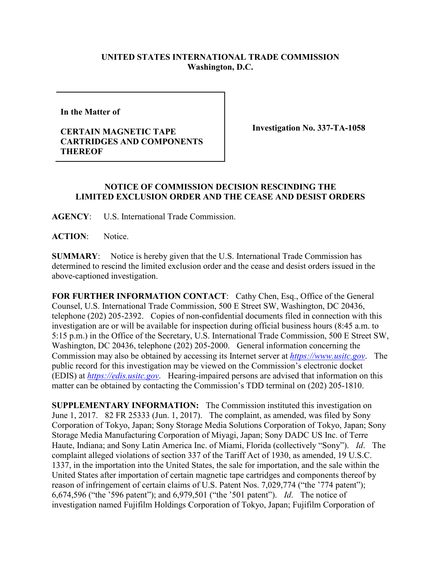## **UNITED STATES INTERNATIONAL TRADE COMMISSION Washington, D.C.**

**In the Matter of** 

## **CERTAIN MAGNETIC TAPE CARTRIDGES AND COMPONENTS THEREOF**

**Investigation No. 337-TA-1058**

## **NOTICE OF COMMISSION DECISION RESCINDING THE LIMITED EXCLUSION ORDER AND THE CEASE AND DESIST ORDERS**

**AGENCY**: U.S. International Trade Commission.

**ACTION**: Notice.

**SUMMARY**: Notice is hereby given that the U.S. International Trade Commission has determined to rescind the limited exclusion order and the cease and desist orders issued in the above-captioned investigation.

**FOR FURTHER INFORMATION CONTACT**: Cathy Chen, Esq., Office of the General Counsel, U.S. International Trade Commission, 500 E Street SW, Washington, DC 20436, telephone (202) 205-2392. Copies of non-confidential documents filed in connection with this investigation are or will be available for inspection during official business hours (8:45 a.m. to 5:15 p.m.) in the Office of the Secretary, U.S. International Trade Commission, 500 E Street SW, Washington, DC 20436, telephone (202) 205-2000. General information concerning the Commission may also be obtained by accessing its Internet server at *[https://www.usitc.gov](https://www.usitc.gov/)*. The public record for this investigation may be viewed on the Commission's electronic docket (EDIS) at *[https://edis.usitc.gov](https://edis.usitc.gov/)*. Hearing-impaired persons are advised that information on this matter can be obtained by contacting the Commission's TDD terminal on (202) 205-1810.

**SUPPLEMENTARY INFORMATION:** The Commission instituted this investigation on June 1, 2017. 82 FR 25333 (Jun. 1, 2017). The complaint, as amended, was filed by Sony Corporation of Tokyo, Japan; Sony Storage Media Solutions Corporation of Tokyo, Japan; Sony Storage Media Manufacturing Corporation of Miyagi, Japan; Sony DADC US Inc. of Terre Haute, Indiana; and Sony Latin America Inc. of Miami, Florida (collectively "Sony"). *Id*. The complaint alleged violations of section 337 of the Tariff Act of 1930, as amended, 19 U.S.C. 1337, in the importation into the United States, the sale for importation, and the sale within the United States after importation of certain magnetic tape cartridges and components thereof by reason of infringement of certain claims of U.S. Patent Nos. 7,029,774 ("the '774 patent"); 6,674,596 ("the '596 patent"); and 6,979,501 ("the '501 patent"). *Id*. The notice of investigation named Fujifilm Holdings Corporation of Tokyo, Japan; Fujifilm Corporation of